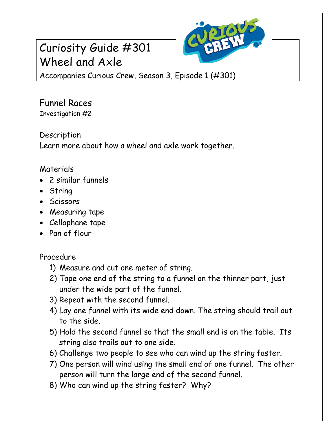# Curiosity Guide #301 Wheel and Axle



Accompanies Curious Crew, Season 3, Episode 1 (#301)

Funnel Races Investigation #2

Description Learn more about how a wheel and axle work together.

## Materials

- 2 similar funnels
- String
- Scissors
- Measuring tape
- Cellophane tape
- Pan of flour

## Procedure

- 1) Measure and cut one meter of string.
- 2) Tape one end of the string to a funnel on the thinner part, just under the wide part of the funnel.
- 3) Repeat with the second funnel.
- 4) Lay one funnel with its wide end down. The string should trail out to the side.
- 5) Hold the second funnel so that the small end is on the table. Its string also trails out to one side.
- 6) Challenge two people to see who can wind up the string faster.
- 7) One person will wind using the small end of one funnel. The other person will turn the large end of the second funnel.
- 8) Who can wind up the string faster? Why?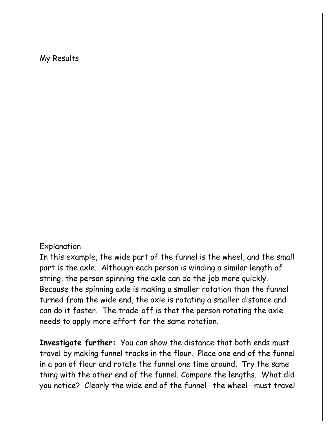#### My Results

#### Explanation

In this example, the wide part of the funnel is the wheel, and the small part is the axle. Although each person is winding a similar length of string, the person spinning the axle can do the job more quickly. Because the spinning axle is making a smaller rotation than the funnel turned from the wide end, the axle is rotating a smaller distance and can do it faster. The trade-off is that the person rotating the axle needs to apply more effort for the same rotation.

**Investigate further:** You can show the distance that both ends must travel by making funnel tracks in the flour. Place one end of the funnel in a pan of flour and rotate the funnel one time around. Try the same thing with the other end of the funnel. Compare the lengths. What did you notice? Clearly the wide end of the funnel--the wheel--must travel